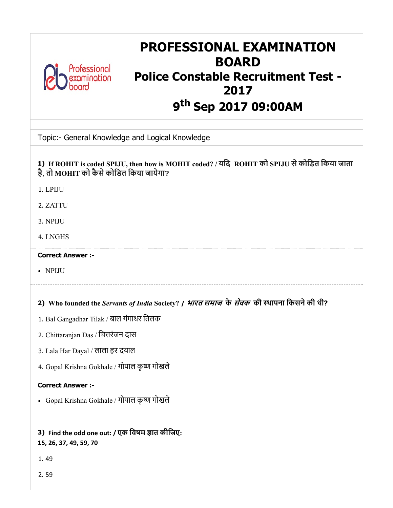

# PROFESSIONAL EXAMINATION BOARD Police Constable Recruitment Test - 2017 9<sup>th</sup> Sep 2017 09:00AM

Topic:- General Knowledge and Logical Knowledge

## 1) If ROHIT is coded SPIJU, then how is MOHIT coded? / यिद ROHIT को SPIJU सेकोिडत िकया जाता है, तो MOHIT को कैसेकोिडत िकया जायेगा?

- 1. LPIJU
- 2. ZATTU
- 3. NPIJU
- 4. LNGHS

## Correct Answer :-

NPIJU

## 2) Who founded the *Servants of India* Society? / भारत समाज के सेवक की थापना िकसनेकी थी?

- 1. Bal Gangadhar Tilak / बाल गंगाधर ितलक
- 2. Chittaranjan Das / िचरंजन दास
- 3. Lala Har Dayal / लाला हर दयाल
- 4. Gopal Krishna Gokhale / गोपाल कृ गोखले

## Correct Answer :-

Gopal Krishna Gokhale / गोपाल कृ गोखले

## 3) Find the odd one out: / एक विषम ज्ञात कीजिए: 15, 26, 37, 49, 59, 70

- 1. 49
- 2. 59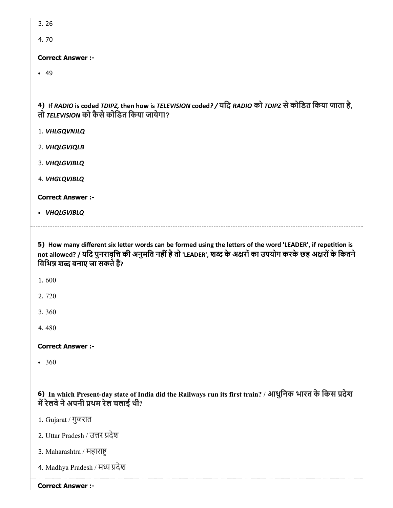3. 26

4. 70

## Correct Answer :-

 $-49$ 

4) If RADIO is coded TDIPZ, then how is TELEVISION coded? / यिद RADIO को TDIPZ सेकोिडत िकया जाता है, तो TELEVISION को कैसेकोिडत िकया जायेगा?

- 1. VHLGQVNJLQ
- 2. VHQLGVJQLB
- 3. VHQLGVJBLQ
- 4. VHGLQVJBLQ

#### Correct Answer :-

VHQLGVJBLQ

5) How many different six letter words can be formed using the letters of the word 'LEADER', if repetition is not allowed? / यदि पुनरावृत्ति की अनुमति नहीं है तो 'LEADER', शब्द के अक्षरों का उपयोग करके छह अक्षरों के कितने विभिन्न शब्द बनाए जा सकते हैं?

1. 600

2. 720

3. 360

4. 480

## Correct Answer :-

• 360

6) In which Present-day state of India did the Railways run its first train? / आधुिनक भारत के िकस देश में रेलवे ने अपनी प्रथम रेल चलाई थी?

1. Gujarat / गुजरात

- 2. Uttar Pradesh / उत्तर प्रदेश
- 3. Maharashtra / महारा
- 4. Madhya Pradesh / मध्य प्रदेश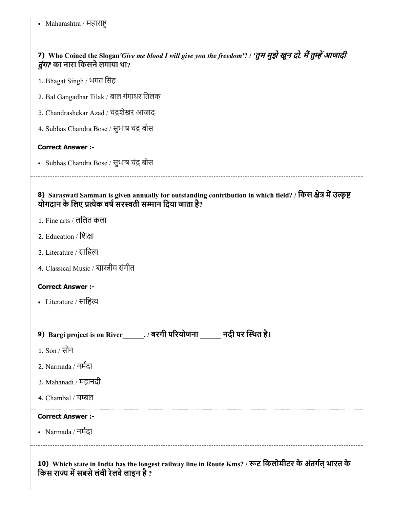• Maharashtra / महाराष्ट्

## 7) Who Coined the Slogan*'Give me blood I will give you the freedom'*? / *'*तुम मुझेखून दो*,* मतुआजादी दूंगा*'* का नारा िकसनेलगाया था?

- 1. Bhagat Singh / भगत िसंह
- 2. Bal Gangadhar Tilak / बाल गंगाधर ितलक
- 3. Chandrashekar Azad / चंशेखर आजाद
- 4. Subhas Chandra Bose / सुभाष चंद्र बोस

#### Correct Answer :-

- Subhas Chandra Bose / सुभाष चंद्र बोस
- 8) Saraswati Samman is given annually for outstanding contribution in which field? / किस क्षेत्र में उत्कृष्ट योगदान के लिए प्रत्येक वर्ष सरस्वती सम्मान दिया जाता है?
- 1. Fine arts / लिलत कला
- 2. Education / िशा
- 3. Literature / साहित्य
- 4. Classical Music / शास्त्रीय संगीत

#### Correct Answer :-

- Literature / साहित्य
- 9) Bargi project is on River\_\_\_\_\_\_. / बरगी परयोजना \_\_\_\_\_\_ नदी पर थत है।
- 1. Son / सोन
- 2. Narmada / नमदा
- 3. Mahanadi / महानदी
- 4. Chambal / चम्बल

#### Correct Answer :-

Narmada / नमदा

10) Which state in India has the longest railway line in Route Kms? / रूट किलोमीटर के अंतर्गत् भारत के किस राज्य में सबसे लंबी रेलवे लाइन है  $\overline{?}$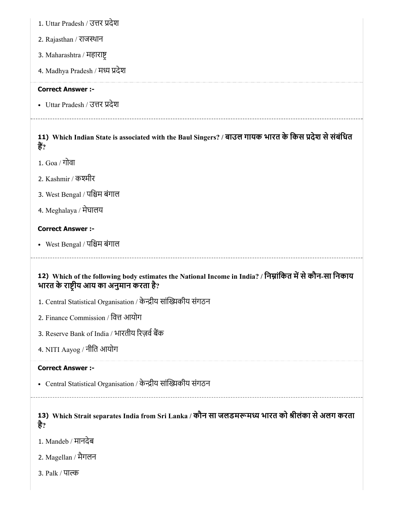- 1. Uttar Pradesh / उत्तर प्रदेश
- 2. Rajasthan / राजथान
- 3. Maharashtra / महारा
- 4. Madhya Pradesh / मध्य प्रदेश

### Correct Answer :-

• Uttar Pradesh / उत्तर प्रदेश

## 11) Which Indian State is associated with the Baul Singers? / बाउल गायक भारत के किस प्रदेश से संबंधित हैं?

- 1. Goa / गोवा
- 2. Kashmir / कश्मीर
- 3. West Bengal / पिम बंगाल
- 4. Meghalaya / मेघालय

## Correct Answer :-

• West Bengal / पश्चिम बंगाल

## 12) Which of the following body estimates the National Income in India? / निम्नाकित में से कौन-सा निकाय भारत के राष्टीय आय का अनुमान करता है?

- 1. Central Statistical Organisation / केन्द्रीय सांख्यिकीय संगठन
- 2. Finance Commission / वित्त आयोग
- 3. Reserve Bank of India / भारतीय रिज़र्व बैंक
- 4. NITI Aayog / नीित आयोग

## Correct Answer :-

- Central Statistical Organisation / केन्द्रीय सांख्यिकीय संगठन
- 

## 13) Which Strait separates India from Sri Lanka / कौन सा जलडमरूमध्य भारत को श्रीलका से अलग करता है?

- 1. Mandeb / मानदेब
- 2. Magellan / मैगलन
- 3. Palk / पा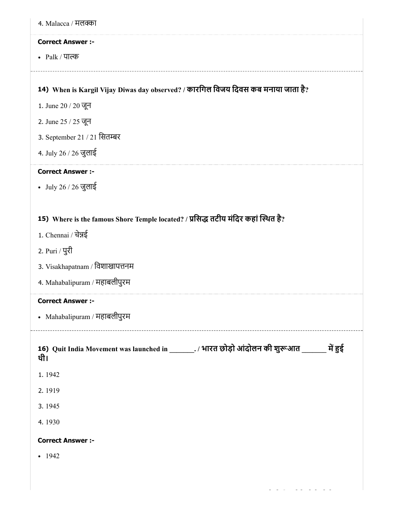| 4. Malacca / मलक्का                                                                                  |
|------------------------------------------------------------------------------------------------------|
| <b>Correct Answer :-</b>                                                                             |
| • Palk / पाल्क                                                                                       |
|                                                                                                      |
| 14) When is Kargil Vijay Diwas day observed? / कारगिल विजय दिवस कब मनाया जाता है?                    |
| 1. June 20 / 20 जून                                                                                  |
| 2. June 25 / 25 जून                                                                                  |
| 3. September 21 / 21 सितम्बर                                                                         |
| 4. July 26 / 26 जुलाई                                                                                |
| <b>Correct Answer :-</b>                                                                             |
| • July 26 / 26 जुलाई                                                                                 |
|                                                                                                      |
| 15) Where is the famous Shore Temple located? / प्रसिद्ध तटीय मंदिर कहां स्थित है?                   |
| 1. Chennai / चेन्नई                                                                                  |
| 2. Puri / पुरी                                                                                       |
| 3. Visakhapatnam / विशाखापत्तनम                                                                      |
| 4. Mahabalipuram / महाबलीपुरम                                                                        |
| <b>Correct Answer :-</b>                                                                             |
| • Mahabalipuram / महाबलीपुरम                                                                         |
| 16) Quit India Movement was launched in _______. / भारत छोड़ो आंदोलन की शुरूआत ______ में हुई<br>थी। |
| 1.1942                                                                                               |
| 2.1919                                                                                               |
| 3.1945                                                                                               |
| 4.1930                                                                                               |
| <b>Correct Answer :-</b>                                                                             |
| $-1942$                                                                                              |
|                                                                                                      |
|                                                                                                      |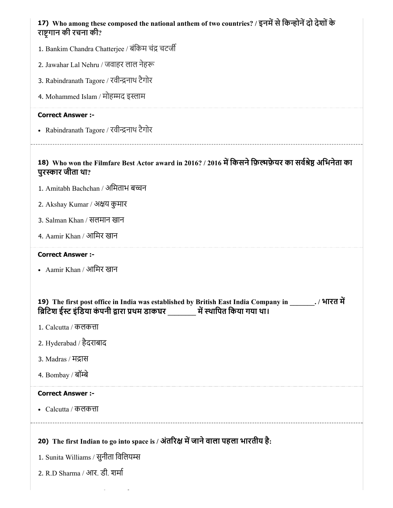| 17) Who among these composed the national anthem of two countries? / इनमें से किन्होनें दो देशों के<br>राष्ट्रगान की रचना की?                                                             |
|-------------------------------------------------------------------------------------------------------------------------------------------------------------------------------------------|
| 1. Bankim Chandra Chatterjee / बंकिम चंद्र चटर्जी                                                                                                                                         |
| 2. Jawahar Lal Nehru / जवाहर लाल नेहरू                                                                                                                                                    |
| 3. Rabindranath Tagore / रवीन्द्रनाथ टैगोर                                                                                                                                                |
| 4. Mohammed Islam / मोहम्मद इस्लाम                                                                                                                                                        |
| <b>Correct Answer :-</b>                                                                                                                                                                  |
| • Rabindranath Tagore / रवीन्द्रनाथ टैगोर                                                                                                                                                 |
| 18) Who won the Filmfare Best Actor award in 2016? / 2016 में किसने फ़िल्मफ़ेयर का सर्वश्रेष्ठ अभिनेता का<br>पुरस्कार जीता था?                                                            |
| 1. Amitabh Bachchan / अमिताभ बच्चन                                                                                                                                                        |
| 2. Akshay Kumar / अक्षय कुमार                                                                                                                                                             |
| 3. Salman Khan / सलमान खान                                                                                                                                                                |
| 4. Aamir Khan / आमिर खान                                                                                                                                                                  |
| <b>Correct Answer :-</b>                                                                                                                                                                  |
| • Aamir Khan / आमिर खान                                                                                                                                                                   |
| 19) The first post office in India was established by British East India Company in _______. / भारत में<br>ब्रिटिश ईस्ट इंडिया कंपनी द्वारा प्रथम डाकघर ________ में स्थापित किया गया था। |
| 1. Calcutta / कलकत्ता                                                                                                                                                                     |
| 2. Hyderabad / हैदराबाद                                                                                                                                                                   |
| 3. Madras / मद्रास                                                                                                                                                                        |
| 4. Bombay / बॉम्बे                                                                                                                                                                        |
| <b>Correct Answer :-</b>                                                                                                                                                                  |
| • Calcutta / कलकत्ता                                                                                                                                                                      |
| 20) The first Indian to go into space is / अंतरिक्ष में जाने वाला पहला भारतीय है:                                                                                                         |
| 1. Sunita Williams / सुनीता विलियम्स                                                                                                                                                      |
| 2. R.D Sharma / आर. डी. शर्मा                                                                                                                                                             |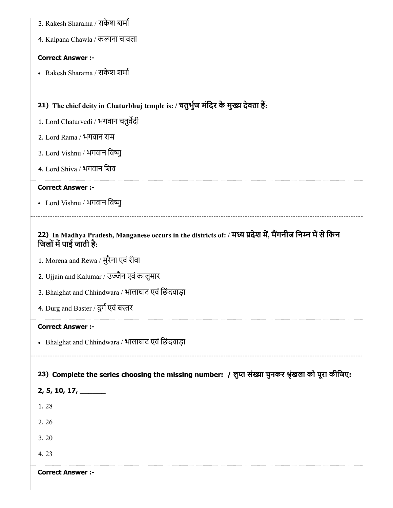- 21) The chief deity in Chaturbhuj temple is: / चतुभुज मंदिर के मुख्य देवता है: 22) In Madhya Pradesh, Manganese occurs in the districts of: / मध्य प्रदेश में, मेंगनीज निम्न में से किन 23) Complete the series choosing the missing number: / लुप्त संख्या चुनकर श्रृंखला को पूरा कीजिए: 3. Rakesh Sharama / राकेश शमा 4. Kalpana Chawla / कपना चावला Correct Answer :- Rakesh Sharama / राकेश शमा 1. Lord Chaturvedi / भगवान चतुवदी 2. Lord Rama / भगवान राम 3. Lord Vishnu / भगवान िवु 4. Lord Shiva / भगवान िशव Correct Answer :- • Lord Vishnu / भगवान विष्णु जिलों में पाई जाती है: 1. Morena and Rewa / मुरैना एवं रीवा 2. Ujjain and Kalumar / उजैन एवं कालुमार 3. Bhalghat and Chhindwara / भालाघाट एवं िछंदवाड़ा 4. Durg and Baster / दुर्ग एवं बस्तर Correct Answer :- • Bhalghat and Chhindwara / भालाघाट एवं छिंदवाड़ा 2, 5, 10, 17, \_\_\_\_\_\_
	- 1. 28
	- 2. 26
	- 3. 20
	- 4. 23

Correct Answer :-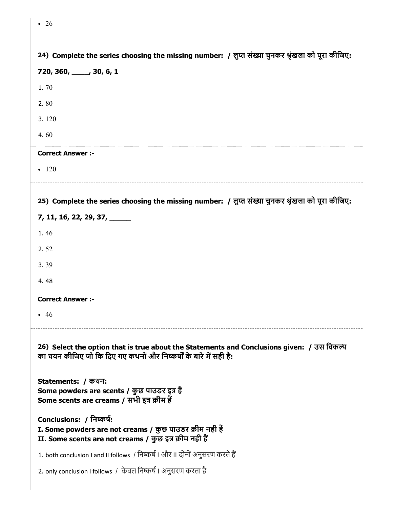| 24) Complete the series choosing the missing number: / लुप्त संख्या चुनकर श्रृंखला को पूरा कीजिए:                                                               |
|-----------------------------------------------------------------------------------------------------------------------------------------------------------------|
| 720, 360, 30, 30, 6, 1                                                                                                                                          |
| 1.70                                                                                                                                                            |
| 2.80                                                                                                                                                            |
| 3.120                                                                                                                                                           |
| 4.60                                                                                                                                                            |
| <b>Correct Answer :-</b>                                                                                                                                        |
| $-120$                                                                                                                                                          |
|                                                                                                                                                                 |
| 25) Complete the series choosing the missing number: / लुप्त संख्या चुनकर श्रृंखला को पूरा कीजिए:                                                               |
| 7, 11, 16, 22, 29, 37, _____                                                                                                                                    |
| 1.46                                                                                                                                                            |
| 2.52                                                                                                                                                            |
| 3.39                                                                                                                                                            |
| 4.48                                                                                                                                                            |
| <b>Correct Answer :-</b>                                                                                                                                        |
| - 46                                                                                                                                                            |
| 26) Select the option that is true about the Statements and Conclusions given: / उस विकल्प<br>का चयन कीजिए जो कि दिए गए कथनों और निष्कर्षों के बारे में सही है: |
| Statements: / कथन:<br>Some powders are scents / कुछ पाउडर इत्र हैं<br>Some scents are creams / सभी इत्र क्रीम हैं                                               |
| Conclusions: / निष्कर्ष:<br>I. Some powders are not creams / कुछ पाउडर क्रीम नही हैं<br>II. Some scents are not creams / कुछ इत्र क्रीम नही हैं                 |
| 1. both conclusion I and II follows  / निष्कर्ष I और II दोनों अनुसरण करते हैं                                                                                   |
| 2. only conclusion I follows / केवल निष्कर्ष । अनुसरण करता है                                                                                                   |

• 26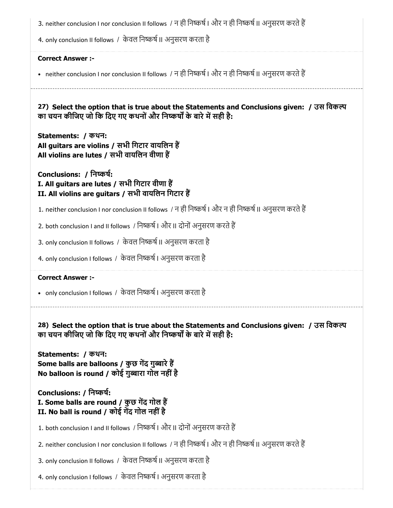| 3. neither conclusion I nor conclusion II follows / न ही निष्कर्ष । और न ही निष्कर्ष II अनुसरण करते हैं                                                         |
|-----------------------------------------------------------------------------------------------------------------------------------------------------------------|
| 4. only conclusion II follows / केवल निष्कर्ष II अनुसरण करता है                                                                                                 |
| <b>Correct Answer :-</b>                                                                                                                                        |
| • neither conclusion I nor conclusion II follows / न ही निष्कर्ष । और न ही निष्कर्ष II अनुसरण करते हैं                                                          |
| 27) Select the option that is true about the Statements and Conclusions given: / उस विकल्प<br>का चयन कीजिए जो कि दिए गए कथनों और निष्कर्षों के बारे में सही है: |
| Statements: / कथन:<br>All guitars are violins / सभी गिटार वायलिन हैं<br>All violins are lutes / सभी वायलिन वीणा हैं                                             |
| Conclusions: / निष्कर्ष:<br>I. All guitars are lutes / सभी गिटार वीणा हैं<br>II. All violins are guitars / सभी वायलिन गिटार हैं                                 |
| 1. neither conclusion I nor conclusion II follows  / न ही निष्कर्ष । और न ही निष्कर्ष II अनुसरण करते हैं                                                        |
| 2. both conclusion I and II follows / निष्कर्ष   और II दोनों अनुसरण करते हैं                                                                                    |
| 3. only conclusion II follows / केवल निष्कर्ष II अनुसरण करता है                                                                                                 |
| 4. only conclusion I follows / केवल निष्कर्ष । अनुसरण करता है                                                                                                   |
| <b>Correct Answer :-</b>                                                                                                                                        |
| • only conclusion I follows / केवल निष्कर्ष   अनुसरण करता है                                                                                                    |
| 28) Select the option that is true about the Statements and Conclusions given: / उस विकल्प<br>का चयन कीजिए जो कि दिए गए कथनों और निष्कर्षों के बारे में सही है: |
| Statements: / कथन:<br>Some balls are balloons / कुछ गेंद गुब्बारे हैं<br>No balloon is round / कोई गुब्बारा गोल नहीं है                                         |
| Conclusions: / निष्कर्ष:<br>I. Some balls are round / कुछ गेंद गोल हैं<br>II. No ball is round / कोई गेंद गोल नहीं है                                           |
| 1. both conclusion I and II follows / निष्कर्ष   और II दोनों अनुसरण करते हैं                                                                                    |
| 2. neither conclusion I nor conclusion II follows / न ही निष्कर्ष । और न ही निष्कर्ष II अनुसरण करते हैं                                                         |
| 3. only conclusion II follows / केवल निष्कर्ष II अनुसरण करता है                                                                                                 |
| 4. only conclusion I follows / केवल निष्कर्ष । अनुसरण करता है                                                                                                   |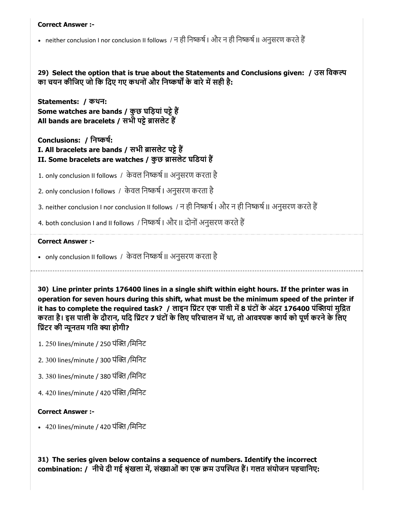#### Correct Answer :-

• neither conclusion I nor conclusion II follows / न ही निष्कर्ष । और न ही निष्कर्ष II अनुसरण करते हैं

29) Select the option that is true about the Statements and Conclusions given: / उस िवक का चयन कीजिए जो कि दिए गए कथनों और निष्कर्षों के बारे में सही है:

Statements: / कथन: Some watches are bands / कुछ घड़ियां पट्टे हैं All bands are bracelets / सभी पट्टे ब्रासलेट हैं

Conclusions: / िनकष:

I. All bracelets are bands / सभी ब्रासलेट पट्टे हैं II. Some bracelets are watches / कुछ ब्रासलेट घडियां हैं

1. only conclusion II follows / केवल निष्कर्ष II अनुसरण करता है

2. only conclusion I follows / केवल निष्कर्ष । अनुसरण करता है

- 3. neither conclusion I nor conclusion II follows / न ही निष्कर्ष | और न ही निष्कर्ष || अनुसरण करते हैं
- 4. both conclusion I and II follows / निष्कर्ष | और II दोनों अनुसरण करते हैं

#### Correct Answer :-

• only conclusion II follows / केवल निष्कर्ष II अनुसरण करता है

30) Line printer prints 176400 lines in a single shift within eight hours. If the printer was in operation for seven hours during this shift, what must be the minimum speed of the printer if it has to complete the required task? / लाइन प्रिंटर एक पाली में 8 घंटों के अंदर 176400 पंक्तियां मुद्रित करता है। इस पाली के दौरान, यदि प्रिंटर 7 घंटों के लिए परिचालन में था, तो आवश्यक कार्य को पूर्ण करने के लिए प्रिंटर की न्यूनतम गति क्या होगी?

- 1. 250 lines/minute / 250 पंक्ति /मिनिट
- 2. 300 lines/minute / 300 पंक्ति /मिनिट
- 3. 380 lines/minute / 380 पंक्ति /मिनिट

4. 420 lines/minute / 420 पंक्ति /मिनिट

## Correct Answer :-

• 420 lines/minute / 420 पंक्ति /मिनिट

31) The series given below contains a sequence of numbers. Identify the incorrect combination: / नीचे दी गई श्रृंखला में, संख्याओं का एक क्रम उपस्थित हैं। गलत संयोजन पहचानिए: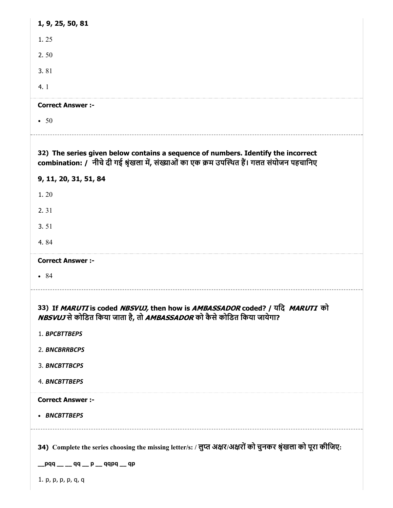| 1, 9, 25, 50, 81         |                                                                                                                                                                                  |
|--------------------------|----------------------------------------------------------------------------------------------------------------------------------------------------------------------------------|
| 1.25                     |                                                                                                                                                                                  |
| 2.50                     |                                                                                                                                                                                  |
| 3.81                     |                                                                                                                                                                                  |
| 4.1                      |                                                                                                                                                                                  |
| <b>Correct Answer :-</b> |                                                                                                                                                                                  |
| $\cdot$ 50               |                                                                                                                                                                                  |
|                          | 32) The series given below contains a sequence of numbers. Identify the incorrect<br>combination: / नीचे दी गई श्रृंखला में, संख्याओं का एक क्रम उपस्थित हैं। गलत संयोजन पहचानिए |
| 9, 11, 20, 31, 51, 84    |                                                                                                                                                                                  |
| 1.20                     |                                                                                                                                                                                  |
| 2.31                     |                                                                                                                                                                                  |
| 3.51                     |                                                                                                                                                                                  |
| 4.84                     |                                                                                                                                                                                  |
|                          |                                                                                                                                                                                  |
| <b>Correct Answer :-</b> |                                                                                                                                                                                  |
| • 84                     |                                                                                                                                                                                  |
|                          | 33) If MARUTI is coded NBSVUJ, then how is AMBASSADOR coded? / यदि MARUTI को<br>NBSVUJ से कोडित किया जाता है, तो AMBASSADOR को कैसे कोडित किया जायेगा?                           |
| 1. BPCBTTBEPS            |                                                                                                                                                                                  |
| 2. BNCBRRBCPS            |                                                                                                                                                                                  |
| 3. BNCBTTBCPS            |                                                                                                                                                                                  |
| 4. BNCBTTBEPS            |                                                                                                                                                                                  |
| <b>Correct Answer :-</b> |                                                                                                                                                                                  |
| • BNCBTTBEPS             |                                                                                                                                                                                  |
|                          | 34) Complete the series choosing the missing letter/s: / लुप्त अक्षर/अक्षरों को चुनकर श्रृंखला को पूरा कीजिए:                                                                    |
|                          | __pqq __ __ qq __ p __ qqpq __ qp                                                                                                                                                |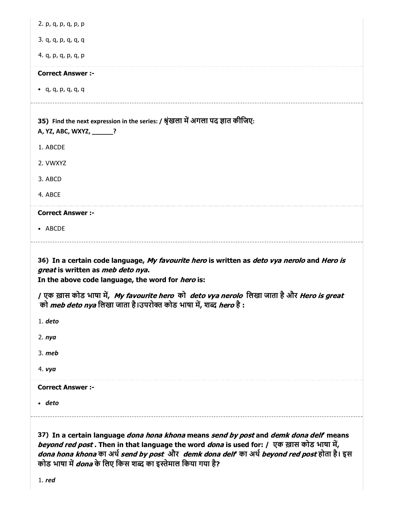| 2. p, q, p, q, p, p                                                                                                                                                                          |
|----------------------------------------------------------------------------------------------------------------------------------------------------------------------------------------------|
| 3. q, q, p, q, q, q                                                                                                                                                                          |
| 4. q, p, q, p, q, p                                                                                                                                                                          |
| <b>Correct Answer :-</b>                                                                                                                                                                     |
| • $q, q, p, q, q, q$                                                                                                                                                                         |
| 35) Find the next expression in the series: / श्रृंखला में अगला पद ज्ञात कीजिए:<br>A, YZ, ABC, WXYZ, ______?                                                                                 |
| 1. ABCDE                                                                                                                                                                                     |
| 2. VWXYZ                                                                                                                                                                                     |
| 3. ABCD                                                                                                                                                                                      |
| 4. ABCE                                                                                                                                                                                      |
| <b>Correct Answer :-</b>                                                                                                                                                                     |
| • ABCDE                                                                                                                                                                                      |
| 36) In a certain code language, My favourite hero is written as deto vya nerolo and Hero is<br>great is written as meb deto nya.<br>In the above code language, the word for <i>hero</i> is: |
| / एक ख़ास कोड भाषा में, My favourite hero को deto vya nerolo लिखा जाता है और Hero is great<br>को <i>meb deto nya</i> लिखा जाता है।उपरोक्त कोड भाषा में, शब्द <i>hero</i> है :                |
| 1. deto                                                                                                                                                                                      |
| 2. <i>nya</i>                                                                                                                                                                                |
| $3.$ meb                                                                                                                                                                                     |
| 4. vya                                                                                                                                                                                       |
| <b>Correct Answer :-</b>                                                                                                                                                                     |
|                                                                                                                                                                                              |
| $\cdot$ deto                                                                                                                                                                                 |

beyond red post . Then in that language the word *dona* is used for: / एक ख़ास कोड भाषा में, dona hona khona का अर्थ *send by post और demk dona delf का अर्थ beyond red post* होता है। इस कोड भाषा में *dona* के लिए किस शब्द का इस्तेमाल किया गया है?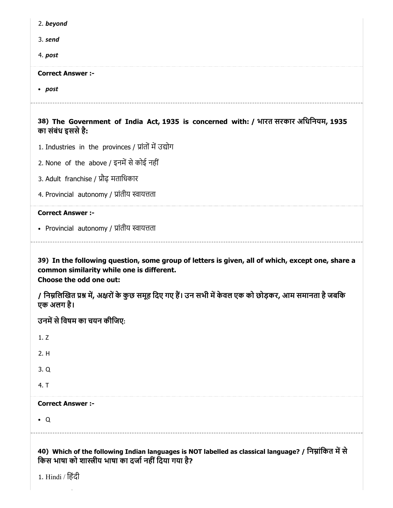| 2. beyond                                                                                                              |
|------------------------------------------------------------------------------------------------------------------------|
| 3. send                                                                                                                |
| 4. post                                                                                                                |
| <b>Correct Answer :-</b>                                                                                               |
| • post                                                                                                                 |
| 38) The Government of India Act, 1935 is concerned with: / भारत सरकार अधिनियम, 1935<br>का संबंध इससे है:               |
| 1. Industries in the provinces / प्रांतों में उद्योग                                                                   |
| 2. None of the above / इनमें से कोई नहीं                                                                               |
| 3. Adult franchise / प्रौढ़ मताधिकार                                                                                   |
| 4. Provincial autonomy / प्रांतीय स्वायत्तता                                                                           |
| <b>Correct Answer :-</b>                                                                                               |
| • Provincial autonomy / प्रांतीय स्वायत्तता                                                                            |
| 39) In the following question, some group of letters is given, all of which, except one, share a                       |
| common similarity while one is different.<br>Choose the odd one out:                                                   |
| / निम्नलिखित प्रश्न में, अक्षरों के कुछ समूह दिए गए हैं। उन सभी में केवल एक को छोड़कर, आम समानता है जबकि<br>एक अलग है। |
| उनमें से विषम का चयन कीजिए:                                                                                            |
| 1.7                                                                                                                    |
| 2. H                                                                                                                   |
| 3. Q                                                                                                                   |
| 4. T                                                                                                                   |
| <b>Correct Answer :-</b>                                                                                               |
| $\bullet$ Q                                                                                                            |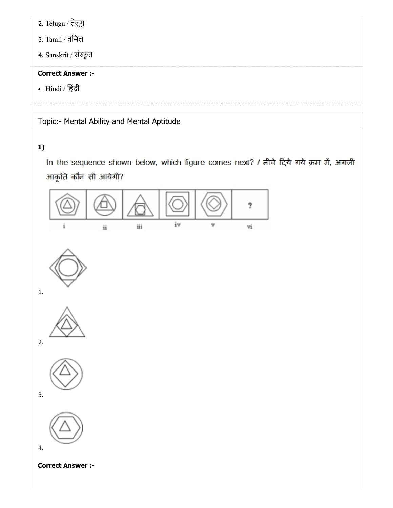2. Telugu / तेलुगु

- 3. Tamil / तिमल
- 4. Sanskrit / संस्कृत

## Correct Answer :-

• Hindi / हिंदी

Topic:- Mental Ability and Mental Aptitude

## 1)

In the sequence shown below, which figure comes next? / नीचे दिये गये क्रम में, अगली आकृति कौन सी आयेगी?



Correct Answer :-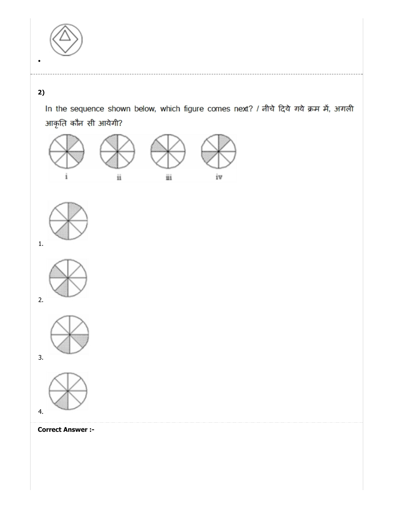

## 2)

In the sequence shown below, which figure comes next? / नीचे दिये गये क्रम में, अगली आकृति कौन सी आयेगी?











Correct Answer :-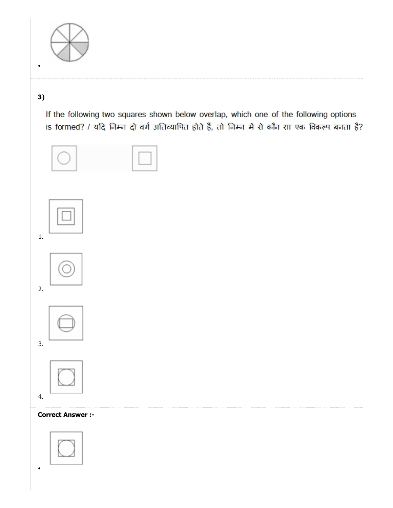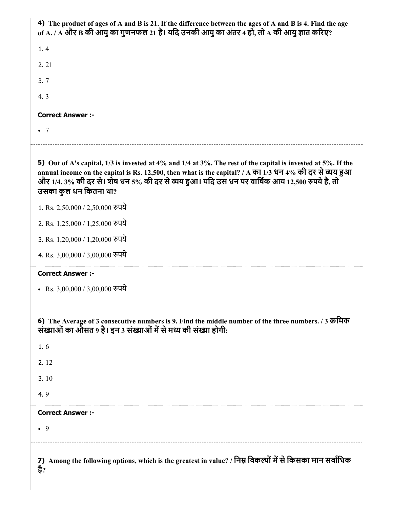| 4) The product of ages of A and B is 21. If the difference between the ages of A and B is 4. Find the age<br>of A. / A और B की आयु का गुणनफल 21 है। यदि उनकी आयु का अंतर 4 हो, तो A की आयु ज्ञात करिए?                                                                                                                                              |
|-----------------------------------------------------------------------------------------------------------------------------------------------------------------------------------------------------------------------------------------------------------------------------------------------------------------------------------------------------|
| 1.4                                                                                                                                                                                                                                                                                                                                                 |
| 2.21                                                                                                                                                                                                                                                                                                                                                |
| 3.7                                                                                                                                                                                                                                                                                                                                                 |
| 4.3                                                                                                                                                                                                                                                                                                                                                 |
| <b>Correct Answer :-</b>                                                                                                                                                                                                                                                                                                                            |
| $\bullet$ 7                                                                                                                                                                                                                                                                                                                                         |
| 5) Out of A's capital, 1/3 is invested at 4% and 1/4 at 3%. The rest of the capital is invested at 5%. If the<br>annual income on the capital is Rs. 12,500, then what is the capital? / A का 1/3 धन 4% की दर से व्यय हुआ<br>और 1/4, 3% की दर से। शेष धन 5% की दर से व्यय हुआ। यदि उस धन पर वार्षिक आय 12,500 रुपये है, तो<br>उसका कुल धन कितना था? |
| 1. Rs. 2,50,000 / 2,50,000 रुपये                                                                                                                                                                                                                                                                                                                    |
| 2. Rs. 1,25,000 / 1,25,000 रुपये                                                                                                                                                                                                                                                                                                                    |
| 3. Rs. 1,20,000 / 1,20,000 रुपये                                                                                                                                                                                                                                                                                                                    |
| 4. Rs. 3,00,000 / 3,00,000 रुपये                                                                                                                                                                                                                                                                                                                    |
| <b>Correct Answer :-</b>                                                                                                                                                                                                                                                                                                                            |
| • Rs. 3,00,000 / 3,00,000 रुपये                                                                                                                                                                                                                                                                                                                     |
| 6) The Average of 3 consecutive numbers is 9. Find the middle number of the three numbers. / 3 क्रमिक<br>संख्याओं का औसत 9 है। इन 3 संख्याओं में से मध्य की संख्या होगी:                                                                                                                                                                            |
| 1.6                                                                                                                                                                                                                                                                                                                                                 |
| 2.12                                                                                                                                                                                                                                                                                                                                                |
| 3.10                                                                                                                                                                                                                                                                                                                                                |
| 4.9                                                                                                                                                                                                                                                                                                                                                 |
| <b>Correct Answer :-</b>                                                                                                                                                                                                                                                                                                                            |
| $\bullet$ 9                                                                                                                                                                                                                                                                                                                                         |
| 7) Among the following options, which is the greatest in value? / निम्न विकल्पों में से किसका मान सर्वाधिक<br>है?                                                                                                                                                                                                                                   |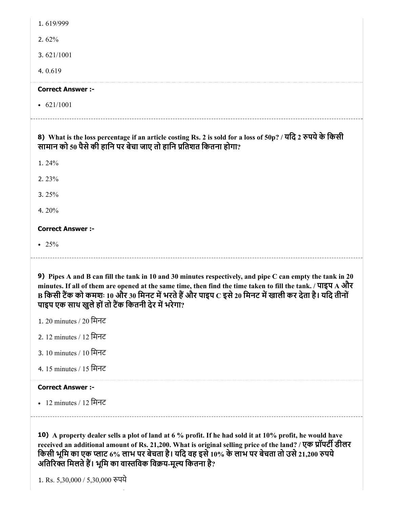| 1.619/999                                                                                                                                                                                                                                                                                                                                                                                   |
|---------------------------------------------------------------------------------------------------------------------------------------------------------------------------------------------------------------------------------------------------------------------------------------------------------------------------------------------------------------------------------------------|
| 2.62%                                                                                                                                                                                                                                                                                                                                                                                       |
| 3.621/1001                                                                                                                                                                                                                                                                                                                                                                                  |
| 4.0.619                                                                                                                                                                                                                                                                                                                                                                                     |
| <b>Correct Answer :-</b>                                                                                                                                                                                                                                                                                                                                                                    |
| $\cdot$ 621/1001                                                                                                                                                                                                                                                                                                                                                                            |
| 8) What is the loss percentage if an article costing Rs. 2 is sold for a loss of 50p? / यदि 2 रुपये के किसी<br>सामान को 50 पैसे की हानि पर बेचा जाए तो हानि प्रतिशत कितना होगा?                                                                                                                                                                                                             |
| 1.24%                                                                                                                                                                                                                                                                                                                                                                                       |
| 2.23%                                                                                                                                                                                                                                                                                                                                                                                       |
| 3. $25%$                                                                                                                                                                                                                                                                                                                                                                                    |
| 4.20%                                                                                                                                                                                                                                                                                                                                                                                       |
|                                                                                                                                                                                                                                                                                                                                                                                             |
| <b>Correct Answer :-</b>                                                                                                                                                                                                                                                                                                                                                                    |
| • 25%                                                                                                                                                                                                                                                                                                                                                                                       |
| 9) Pipes A and B can fill the tank in 10 and 30 minutes respectively, and pipe C can empty the tank in 20<br>minutes. If all of them are opened at the same time, then find the time taken to fill the tank. / पाइप A और<br>B किसी टैंक को कमशः 10 और 30 मिनट में भरते हैं और पाइप $\rm{C}$ इसे 20 मिनट में खाली कर देता है। यदि तीनों<br>पाइप एक साथ खुले हों तो टैंक कितनी देर में भरेगा? |
| 1. 20 minutes / 20 मिनट                                                                                                                                                                                                                                                                                                                                                                     |
| 2. 12 minutes / 12 मिनट                                                                                                                                                                                                                                                                                                                                                                     |
| 3. 10 minutes / 10 मिनट                                                                                                                                                                                                                                                                                                                                                                     |
| 4. 15 minutes / 15 मिनट                                                                                                                                                                                                                                                                                                                                                                     |
| <b>Correct Answer :-</b>                                                                                                                                                                                                                                                                                                                                                                    |
| • 12 minutes / 12 मिनट                                                                                                                                                                                                                                                                                                                                                                      |
|                                                                                                                                                                                                                                                                                                                                                                                             |

10) A property dealer sells a plot of land at 6 % profit. If he had sold it at 10% profit, he would have received an additional amount of Rs. 21,200. What is original selling price of the land? / एक प्रॉपटी डीलर किसी भूमि का एक प्लाट 6% लाभ पर बेचता है। यदि वह इसे 10% के लाभ पर बेचता तो उसे 21,200 रुपये अतिरिक्त मिलते हैं। भूमि का वास्तविक विक्रय-मूल्य कितना है?

1. Rs. 5,30,000 / 5,30,000 रुपये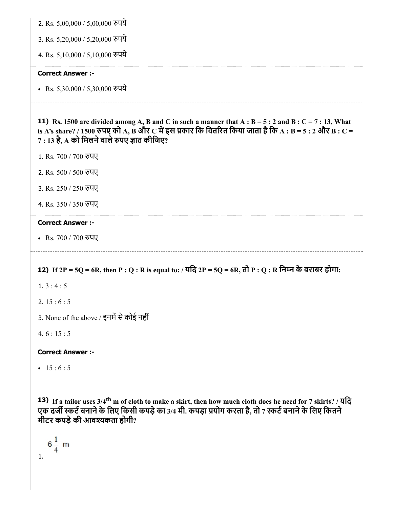2. Rs. 5,00,000 / 5,00,000 पये

3. Rs. 5,20,000 / 5,20,000 पये

4. Rs. 5,10,000 / 5,10,000 पये

#### Correct Answer :-

• Rs. 5,30,000 / 5,30,000 रुपये

**11)** Rs. 1500 are divided among A, B and C in such a manner that  $A : B = 5 : 2$  and  $B : C = 7 : 13$ , What is A's share? / 1500 रुपए को A, B और C में इस प्रकार कि वितरित किया जाता है कि A : B = 5 : 2 और B : C =  $7:13$  है,  $\bf{A}$  को मिलने वाले रुपए ज्ञात कीजिए?

- 1. Rs. 700 / 700 रुपए
- 2. Rs. 500 / 500 पए
- 3. Rs. 250 / 250 पए
- 4. Rs. 350 / 350 पए

#### Correct Answer :-

• Rs. 700 / 700 रुपए

## 12) If 2P = 5Q = 6R, then P : Q : R is equal to: / यिद 2P = 5Q = 6R, तो P : Q : R िनन के बराबर होगा:

- $1.3:4:5$
- 2.  $15:6:5$
- 3. None of the above / इनमें से कोई नहीं
- 4.  $6:15:5$

Correct Answer :-

•  $15 : 6 : 5$ 

13) If a tailor uses 3/4<sup>th</sup> m of cloth to make a skirt, then how much cloth does he need for 7 skirts? / यदि एक दर्जी स्कर्ट बनाने के लिए किसी कपड़े का 3/4 मी. कपड़ा प्रयोग करता है, तो 7 स्कर्ट बनाने के लिए कितने मीटर कपड़ेकी आवकता होगी?

 $6\frac{1}{4}$  m 1.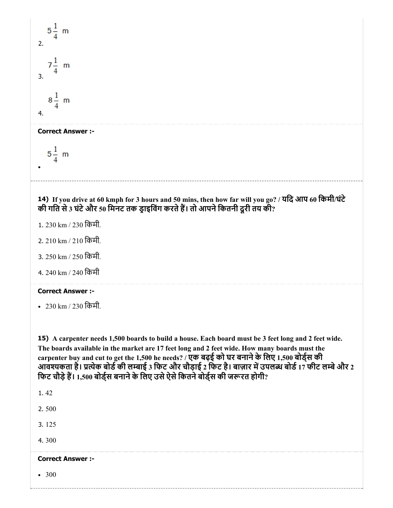$5\frac{1}{4}$  m 2.  $7\frac{1}{4}$  m 3.  $8\frac{1}{4}$  m 4. Correct Answer :-  $5\frac{1}{4}$  m 14) If you drive at 60 kmph for 3 hours and 50 mins, then how far will you go? / यिद आप 60 िकमी/घंटे की गति से 3 घंटे और 50 मिनट तक ड्राइविंग करते हैं। तो आपने कितनी दूरी तय की? 1. 230 km / 230 िकमी. 2. 210 km / 210 िकमी. 3. 250 km / 250 िकमी. 4. 240 km / 240 िकमी Correct Answer :- 230 km / 230 िकमी. 15) A carpenter needs 1,500 boards to build a house. Each board must be 3 feet long and 2 feet wide. The boards available in the market are 17 feet long and 2 feet wide. How many boards must the carpenter buy and cut to get the 1,500 he needs? / एक बढ़ई को घर बनानेके िलए 1,500 बोड्स की क्ता करनाएँ कहा कि बोड़ी की लाई 3 फिट और चौड़ाई 2 फिट है। बाज़ार में उपलब्ध बोर्ड 17 फीट लम्बे और 2 फिट चौड़े हैं। 1,500 बोर्ड्स बनाने के लिए उसे ऐसे कितने बोर्ड्स की जरूरत होगी? 1. 42 2. 500 3. 125 4. 300 Correct Answer :- • 300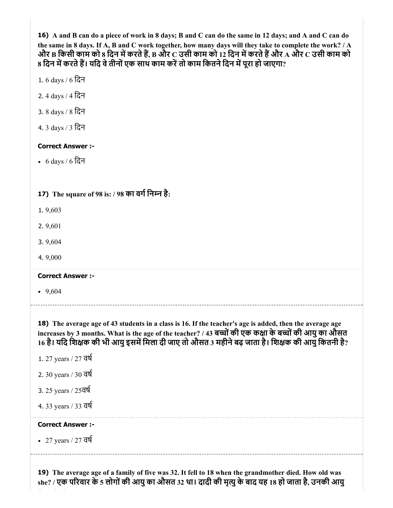16) A and B can do a piece of work in 8 days; B and C can do the same in 12 days; and A and C can do the same in 8 days. If A, B and C work together, how many days will they take to complete the work? / A और B किसी काम को 8 दिन में करते हैं, B और C उसी काम को 12 दिन में करते हैं और A और C उसी काम को 8 दिन में करते हैं। यदि वे तीनों एक साथ काम करें तो काम कितने दिन में पूरा हो जाएगा?

- 1. 6 days / 6 िदन
- 2. 4 days / 4 िदन
- 3. 8 days / 8 िदन
- 4. 3 days / 3 िदन

#### Correct Answer :-

6 days / 6 िदन

## 17) The square of 98 is: / 98 का वगिनन है:

- 1. 9,603
- 2. 9,601
- 3. 9,604
- 4. 9,000

#### Correct Answer :-

 $-9,604$ 

18) The average age of 43 students in a class is 16. If the teacher's age is added, then the average age increases by 3 months. What is the age of the teacher? / 43 बच्चों की एक कक्षा के बच्चों की आयु का औसत 16 है। यदि शिक्षक की भी आयु इसमें मिला दी जाए तो औसत 3 महीने बढ़ जाता है। शिक्षक की आयु कितनी है?

- 1. 27 years / 27 वष
- 2. 30 years / 30 वष
- 3. 25 years / 25वष
- 4. 33 years / 33 वष

## Correct Answer :-

27 years / 27 वष

19) The average age of a family of five was 32. It fell to 18 when the grandmother died. How old was she? / एक परवार के 5 लोगोंकी आयुका औसत 32 था। दादी की मृयुके बाद यह 18 हो जाता है, उनकी आयु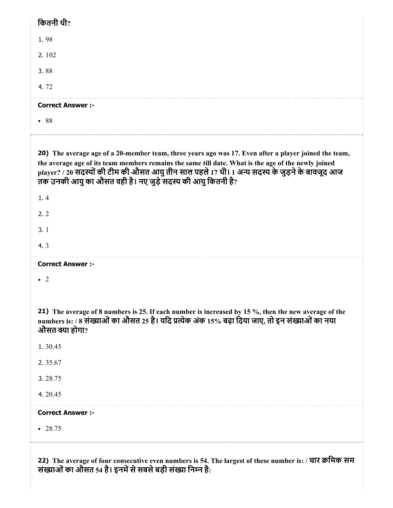| कितनी थी?                                                                                                                                                                                                                                                                                                                                                                   |
|-----------------------------------------------------------------------------------------------------------------------------------------------------------------------------------------------------------------------------------------------------------------------------------------------------------------------------------------------------------------------------|
| 1.98                                                                                                                                                                                                                                                                                                                                                                        |
| 2.102                                                                                                                                                                                                                                                                                                                                                                       |
| 3.88                                                                                                                                                                                                                                                                                                                                                                        |
| 4.72                                                                                                                                                                                                                                                                                                                                                                        |
| <b>Correct Answer :-</b>                                                                                                                                                                                                                                                                                                                                                    |
| • 88                                                                                                                                                                                                                                                                                                                                                                        |
|                                                                                                                                                                                                                                                                                                                                                                             |
| 20) The average age of a 20-member team, three years ago was 17. Even after a player joined the team,<br>the average age of its team members remains the same till date. What is the age of the newly joined<br>player? / 20 सदस्यों की टीम की औसत आयु तीन साल पहले 17 थी। 1 अन्य सदस्य के जुड़ने के बावजूद आज<br>तक उनकी आयु का औसत वही है। नए जुडे सदस्य की आयु कितनी है? |
| 1.4                                                                                                                                                                                                                                                                                                                                                                         |
| 2.2                                                                                                                                                                                                                                                                                                                                                                         |
| 3.1                                                                                                                                                                                                                                                                                                                                                                         |
| 4.3                                                                                                                                                                                                                                                                                                                                                                         |
| <b>Correct Answer :-</b>                                                                                                                                                                                                                                                                                                                                                    |
| -2                                                                                                                                                                                                                                                                                                                                                                          |
|                                                                                                                                                                                                                                                                                                                                                                             |
| 21) The average of 8 numbers is 25. If each number is increased by 15 %, then the new average of the<br>numbers is: / 8 संख्याओं का औसत 25 है। यदि प्रत्येक अंक 15% बढ़ा दिया जाए, तो इन संख्याओं का नया<br>औसत क्या होगा?                                                                                                                                                  |
| 1.30.45                                                                                                                                                                                                                                                                                                                                                                     |
| 2.35.67                                                                                                                                                                                                                                                                                                                                                                     |
| 3.28.75                                                                                                                                                                                                                                                                                                                                                                     |
| 4.20.45                                                                                                                                                                                                                                                                                                                                                                     |
| <b>Correct Answer :-</b>                                                                                                                                                                                                                                                                                                                                                    |
| $-28.75$                                                                                                                                                                                                                                                                                                                                                                    |
|                                                                                                                                                                                                                                                                                                                                                                             |
| 22) The average of four consecutive even numbers is 54. The largest of these number is: / चार क्रमिक सम<br>संख्याओं का औसत 54 है। इनमें से सबसे बड़ी संख्या निम्न है:                                                                                                                                                                                                       |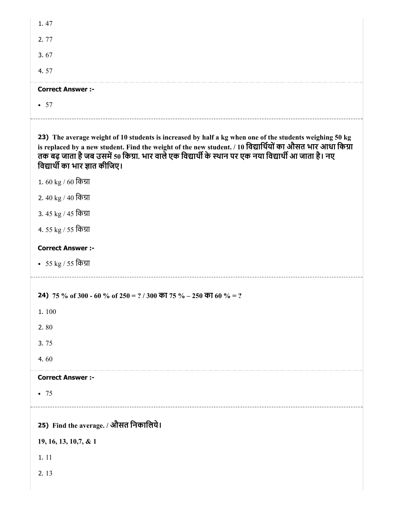| 1.47                                                                                                                                                                                                                                                                                                                                                                                     |
|------------------------------------------------------------------------------------------------------------------------------------------------------------------------------------------------------------------------------------------------------------------------------------------------------------------------------------------------------------------------------------------|
| 2.77                                                                                                                                                                                                                                                                                                                                                                                     |
| 3.67                                                                                                                                                                                                                                                                                                                                                                                     |
| 4.57                                                                                                                                                                                                                                                                                                                                                                                     |
| <b>Correct Answer:-</b>                                                                                                                                                                                                                                                                                                                                                                  |
| • 57                                                                                                                                                                                                                                                                                                                                                                                     |
| 23) The average weight of 10 students is increased by half a kg when one of the students weighing 50 kg<br>is replaced by a new student. Find the weight of the new student. / 10 विद्यार्थियों का औसत भार आधा किग्रा<br>तक बढ़ जाता है जब उसमें 50 किग्रा. भार वाले एक विद्यार्थी के स्थान पर एक नया विद्यार्थी आ जाता है। नए<br>विद्यार्थी का भार ज्ञात कीजिए।<br>1. 60 kg / 60 किग्रा |
| 2.40 kg / 40 किग्रा                                                                                                                                                                                                                                                                                                                                                                      |

- 3. 45 kg / 45 िका
- 4. 55 kg / 55 िका

## Correct Answer :-

55 kg / 55 िका

24) 75 % of 300 - 60 % of 250 = ? / 300 का 75 % – 250 का 60 % = ?

1. 100

2. 80

3. 75

4. 60

#### Correct Answer :-

• 75

25) Find the average. / औसत िनकािलये।

19, 16, 13, 10,7, & 1

1. 11

2. 13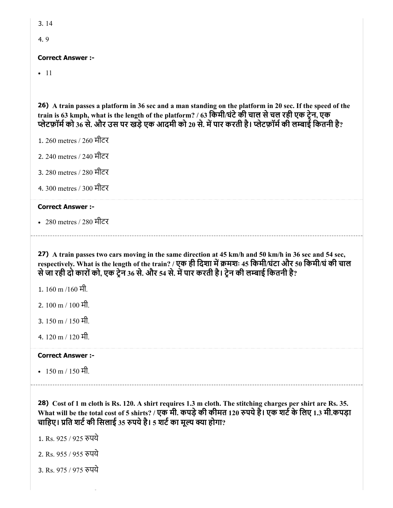```
3. 14
```
4. 9

### Correct Answer :-

 $-11$ 

26) A train passes a platform in 36 sec and a man standing on the platform in 20 sec. If the speed of the train is 63 kmph, what is the length of the platform? / 63 िकमी/घंटेकी चाल सेचल रही एक टेन, एक े प्लेटफ़ॉर्म को 36 से. और उस पर खड़े एक आदमी को 20 से. में पार करती है। प्लेटफ़ॉर्म की लम्बाई कितनी है?

- 1. 260 metres / 260 मीटर
- 2. 240 metres / 240 मीटर
- 3. 280 metres / 280 मीटर
- 4. 300 metres / 300 मीटर

#### Correct Answer :-

280 metres / 280 मीटर

27) A train passes two cars moving in the same direction at 45 km/h and 50 km/h in 36 sec and 54 sec, respectively. What is the length of the train? / एक ही दिशा में क्रमशः 45 किमी/घंटा और 50 किमी/घं की चाल से जा रही दो कारों को, एक ट्रेन 36 से. और 54 से. में पार करती है। ट्रेन की लम्बाई कितनी है?

- 1. 160 m /160 मी.
- 2. 100 m / 100 मी.
- 3. 150 m / 150 मी.
- 4. 120 m / 120 मी.

#### Correct Answer :-

•  $150 \text{ m} / 150 \text{ H}$ .

28) Cost of 1 m cloth is Rs. 120. A shirt requires 1.3 m cloth. The stitching charges per shirt are Rs. 35. What will be the total cost of 5 shirts? / एक मी. कपड़े की कीमत 120 रुपये है। एक शर्ट के लिए 1.3 मी.कपड़ा चाहिए। प्रति शर्ट की सिलाई 35 रुपये है। 5 शर्ट का मूल्य क्या होगा?

1. Rs. 925 / 925 पये

- 2. Rs. 955 / 955 पये
- 3. Rs. 975 / 975 पये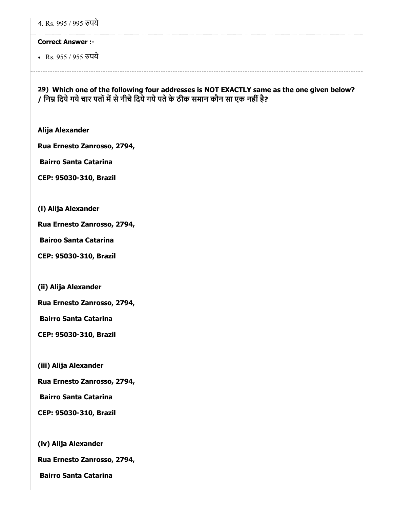4. Rs. 995 / 995 पये

#### Correct Answer :-

• Rs. 955 / 955 रुपये

29) Which one of the following four addresses is NOT EXACTLY same as the one given below? / निम्न दिये गये चार पतों में से नीचे दिये गये पते के ठीक समान कौन सा एक नहीं है?

Alija Alexander

Rua Ernesto Zanrosso, 2794,

Bairro Santa Catarina

CEP: 95030-310, Brazil

(i) Alija Alexander

Rua Ernesto Zanrosso, 2794,

Bairoo Santa Catarina

CEP: 95030-310, Brazil

(ii) Alija Alexander

Rua Ernesto Zanrosso, 2794,

Bairro Santa Catarina

CEP: 95030-310, Brazil

(iii) Alija Alexander

Rua Ernesto Zanrosso, 2794,

Bairro Santa Catarina

CEP: 95030-310, Brazil

(iv) Alija Alexander

Rua Ernesto Zanrosso, 2794,

Bairro Santa Catarina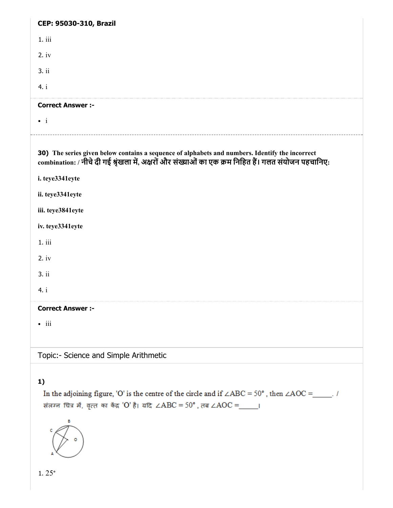| CEP: 95030-310, Brazil                                                                                                                                                                                   |
|----------------------------------------------------------------------------------------------------------------------------------------------------------------------------------------------------------|
| 1.iii                                                                                                                                                                                                    |
| $2.$ iv                                                                                                                                                                                                  |
| 3. ii                                                                                                                                                                                                    |
| 4. i                                                                                                                                                                                                     |
| <b>Correct Answer :-</b>                                                                                                                                                                                 |
| $\bullet$ i                                                                                                                                                                                              |
| 30) The series given below contains a sequence of alphabets and numbers. Identify the incorrect<br>combination: / नीचे दी गई श्रृंखला में, अक्षरों और संख्याओं का एक क्रम निहित हैं। गलत संयोजन पहचानिए: |
| i. teye3341eyte                                                                                                                                                                                          |
| ii. teye3341eyte                                                                                                                                                                                         |
| iii. teye3841eyte                                                                                                                                                                                        |
| iv. teye3341eyte                                                                                                                                                                                         |
| 1.iii                                                                                                                                                                                                    |
| $2.$ iv                                                                                                                                                                                                  |
| 3. ii                                                                                                                                                                                                    |
| 4. i                                                                                                                                                                                                     |
| <b>Correct Answer :-</b>                                                                                                                                                                                 |
| $\bullet$ iii                                                                                                                                                                                            |
| Topic:- Science and Simple Arithmetic                                                                                                                                                                    |
| 1)                                                                                                                                                                                                       |

In the adjoining figure, 'O' is the centre of the circle and if  $\angle ABC = 50^{\circ}$ , then  $\angle AOC =$ \_\_\_\_\_. संलग्न चित्र में, वृत्त का केंद्र 'O' है। यदि ∠ABC = 50°, तब ∠AOC =\_\_\_\_\_।



1. 25°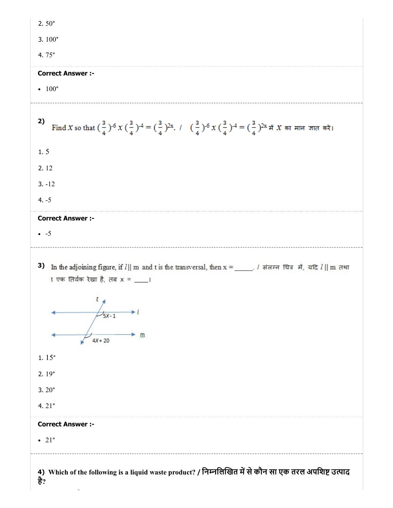| 2.50 $^{\circ}$                                                                                                                                                                                                                                                             |
|-----------------------------------------------------------------------------------------------------------------------------------------------------------------------------------------------------------------------------------------------------------------------------|
| 3.100 $^{\circ}$                                                                                                                                                                                                                                                            |
| 4.75 $^{\circ}$                                                                                                                                                                                                                                                             |
| <b>Correct Answer :-</b>                                                                                                                                                                                                                                                    |
| $\bullet$ 100 $\degree$                                                                                                                                                                                                                                                     |
| 2)<br>Find X so that $(\frac{3}{4})^{-6}$ X $(\frac{3}{4})^{-4}$ = $(\frac{3}{4})^{2x}$ . $\pm (\frac{3}{4})^{-6}$ X $(\frac{3}{4})^{-4}$ = $(\frac{3}{4})^{2x}$ # X का मान जात करें।                                                                                       |
| 1.5                                                                                                                                                                                                                                                                         |
| 2.12                                                                                                                                                                                                                                                                        |
| $3. -12$                                                                                                                                                                                                                                                                    |
| $4. -5$                                                                                                                                                                                                                                                                     |
| <b>Correct Answer :-</b>                                                                                                                                                                                                                                                    |
| $\bullet$ -5                                                                                                                                                                                                                                                                |
| 3)<br>In the adjoining figure, if $l$    m and t is the transversal, then x = _____. / संलग्न चित्र में, यदि $l$    m तथा<br>t एक तिर्यक रेखा है, तब x = ___।<br>$\mathbf{r}$<br>$\frac{7}{5}X-1$<br>m.<br>$4X + 20$<br>1.15°<br>2.19°<br>$3.20^{\circ}$<br>4. $21^{\circ}$ |
| <b>Correct Answer :-</b>                                                                                                                                                                                                                                                    |
| $\bullet$ 21°                                                                                                                                                                                                                                                               |
| 4) Which of the following is a liquid waste product? / निम्नलिखित में से कौन सा एक तरल अपशिष्ट उत्पाद<br>है?                                                                                                                                                                |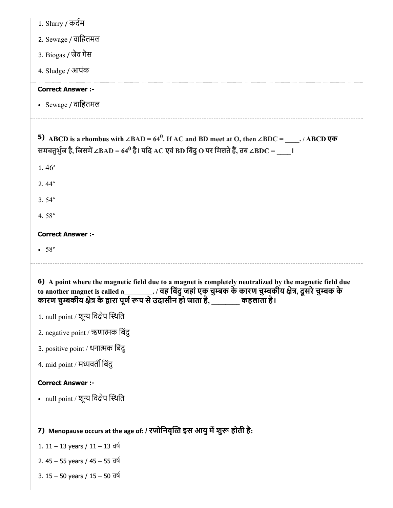| 1. Slurry / कर्दम                                                                                                                                                                                                                                                                                          |
|------------------------------------------------------------------------------------------------------------------------------------------------------------------------------------------------------------------------------------------------------------------------------------------------------------|
| 2. Sewage / वाहितमल                                                                                                                                                                                                                                                                                        |
| 3. Biogas / जैव गैस                                                                                                                                                                                                                                                                                        |
| 4. Sludge / आपंक                                                                                                                                                                                                                                                                                           |
| <b>Correct Answer :-</b>                                                                                                                                                                                                                                                                                   |
| • Sewage / वाहितमल                                                                                                                                                                                                                                                                                         |
| <b>5)</b> ABCD is a rhombus with $\angle BAD = 64^0$ . If AC and BD meet at O, then $\angle BDC =$ $\angle ABCD \overline{\varphi}$<br>समचतुर्भुज है, जिसमें $\angle$ BAD = 64 $^0$ है। यदि AC एवं BD बिंदु O पर मिलते हैं, तब $\angle$ BDC = $^-$ ।                                                       |
| $1.46^{\circ}$                                                                                                                                                                                                                                                                                             |
| $2.44^{\circ}$                                                                                                                                                                                                                                                                                             |
| $3.54^{\circ}$                                                                                                                                                                                                                                                                                             |
| 4.58 $^{\circ}$                                                                                                                                                                                                                                                                                            |
| <b>Correct Answer :-</b>                                                                                                                                                                                                                                                                                   |
|                                                                                                                                                                                                                                                                                                            |
| •58°                                                                                                                                                                                                                                                                                                       |
| 6) A point where the magnetic field due to a magnet is completely neutralized by the magnetic field due<br>to another magnet is called a________. / वह बिंदु जहां एक चुम्बक के कारण चुम्बकीय क्षेत्र, दूसरे चुम्बक के<br>कारण चुम्बकीय क्षेत्र के द्वारा पूर्ण रूप से उदासीन हो जाता है, ______ कहलाता है। |
| 1. null point / शून्य विक्षेप स्थिति                                                                                                                                                                                                                                                                       |
| 2. negative point / ऋणात्मक बिंदु                                                                                                                                                                                                                                                                          |
| 3. positive point / धनात्मक बिंदु                                                                                                                                                                                                                                                                          |
| 4. mid point / मध्यवर्ती बिंद्                                                                                                                                                                                                                                                                             |
| <b>Correct Answer :-</b>                                                                                                                                                                                                                                                                                   |
| • null point / शून्य विक्षेप स्थिति                                                                                                                                                                                                                                                                        |
|                                                                                                                                                                                                                                                                                                            |
| 7) Menopause occurs at the age of: / रजोनिवृत्ति इस आयु में शुरू होती है:                                                                                                                                                                                                                                  |
| 1. 11 – 13 years / 11 – 13 वर्ष                                                                                                                                                                                                                                                                            |
| 2. 45 – 55 years / 45 – 55 वर्ष                                                                                                                                                                                                                                                                            |
| 3. 15 – 50 years / 15 – 50 वर्ष                                                                                                                                                                                                                                                                            |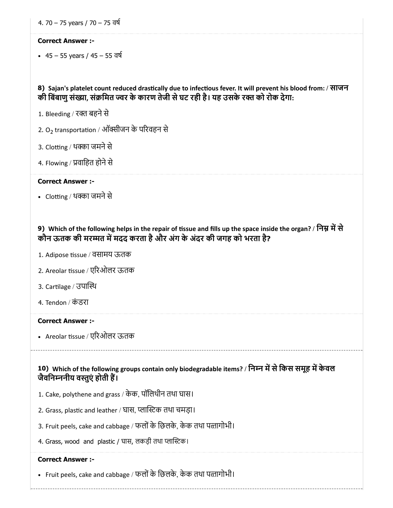4. 70 – 75 years / 70 – 75 वष

#### Correct Answer :-

45 – 55 years / 45 – 55 वष

8) Sajan's platelet count reduced drastically due to infectious fever. It will prevent his blood from: / साजन की बिंबाणु संख्या, संक्रमित ज्वर के कारण तेजी से घट रही है। यह उसके रक्त को रोक देगा:

- 1. Bleeding / रक्त बहने से
- 2. O<sub>2</sub> transportation / ऑक्सीजन के परिवहन से
- 3. Clotting / थक्का जमने से
- 4. Flowing / प्रवाहित होने से

#### Correct Answer :-

• Clotting / थक्का जमने से

## 9) Which of the following helps in the repair of tissue and fills up the space inside the organ? / निम्न में से कौन ऊतक की मरम्मत में मदद करता है और अंग के अंदर की जगह को भरता है?

- 1. Adipose tissue / वसामय ऊतक
- 2. Areolar tissue / एरिओलर ऊतक
- 3. Cartilage / उपास्थि
- 4. Tendon / कं डरा

#### Correct Answer :-

• Areolar tissue / एरिओलर ऊतक

10) Which of the following groups contain only biodegradable items? / निम्न में से किस समूह में केवल जैविनननीय वतुएं होती ह।

- 1. Cake, polythene and grass / केक, पॉिलथीन तथा घास।
- 2. Grass, plastic and leather / घास, प्लास्टिक तथा चमड़ा।
- 3. Fruit peels, cake and cabbage / फलों के छिलके, केक तथा पत्तागोभी।
- 4. Grass, wood and plastic / घास, लकड़ी तथा प्लास्टिक।

#### Correct Answer :-

• Fruit peels, cake and cabbage / फलों के छिलके, केक तथा पत्तागोभी।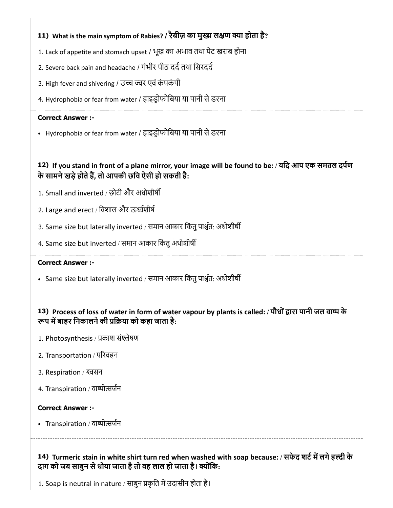## 11) What is the main symptom of Rabies? / रैबीज़ का मुख्य लक्षण क्या होता है?

- 1. Lack of appetite and stomach upset / भूख का अभाव तथा पेट खराब होना
- 2. Severe back pain and headache / गंभीर पीठ दर्द तथा सिरदर्द
- 3. High fever and shivering / उच्च ज्वर एवं कंपकंपी
- 4. Hydrophobia or fear from water / हाइडोफोिबया या पानी सेडरना

#### Correct Answer :-

• Hydrophobia or fear from water / हाइड्रोफोबिया या पानी से डरना

## 12) If you stand in front of a plane mirror, your image will be found to be: / यिद आप एक समतल दपण के सामने खड़े होते हैं, तो आपकी छवि ऐसी हो सकती है:

- 1. Small and inverted / छोटी और अधोशीष
- 2. Large and erect / िवशाल और ऊवशीष
- 3. Same size but laterally inverted / समान आकार किंतु पार्श्वत: अधोशीर्षी
- 4. Same size but inverted / समान आकार किंतु अधोशीर्षी

## Correct Answer :-

• Same size but laterally inverted / समान आकार किंतु पार्श्वत: अधोशीर्षी

## 13) Process of loss of water in form of water vapour by plants is called: / पौधों द्वारा पानी जल वाष्प के रूप में बाहर निकालने की प्रक्रिया को कहा जाता है:

- 1. Photosynthesis / प्रकाश संश्लेषण
- 2. Transportation / परिवहन
- 3. Respiration / श्वसन
- 4. Transpiration / वाष्पोत्सर्जन

## Correct Answer :-

• Transpiration / वाष्पोत्सर्जन

14) Turmeric stain in white shirt turn red when washed with soap because: / सफेद शर्ट में लगे हल्दी के दाग को जब साबुन से धोया जाता है तो वह लाल हो जाता है। क्योंकि:

1. Soap is neutral in nature / साबुन प्रकृति में उदासीन होता है।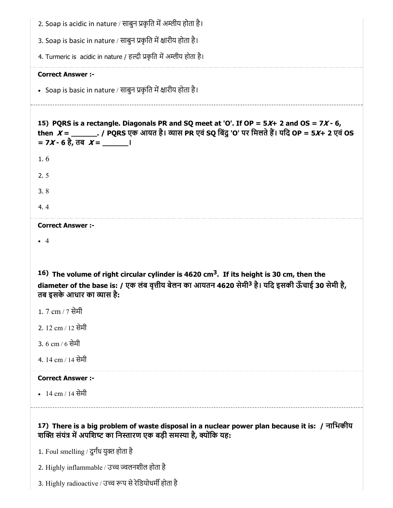| 2. Soap is acidic in nature / साबुन प्रकृति में अम्लीय होता है।                                                                                                                                                                                   |
|---------------------------------------------------------------------------------------------------------------------------------------------------------------------------------------------------------------------------------------------------|
| 3. Soap is basic in nature / साबुन प्रकृति में क्षारीय होता है।                                                                                                                                                                                   |
| 4. Turmeric is acidic in nature / हल्दी प्रकृति में अम्लीय होता है।                                                                                                                                                                               |
| <b>Correct Answer :-</b>                                                                                                                                                                                                                          |
| • Soap is basic in nature / साबुन प्रकृति में क्षारीय होता है।                                                                                                                                                                                    |
| 15) PQRS is a rectangle. Diagonals PR and SQ meet at 'O'. If OP = $5X+2$ and OS = $7X-6$ ,<br>then $X =$ ________. / PQRS एक आयत है। व्यास PR एवं SQ बिंदु 'O' पर मिलते हैं। यदि OP = 5X+ 2 एवं OS                                                |
| 1.6                                                                                                                                                                                                                                               |
| 2.5                                                                                                                                                                                                                                               |
| 3.8                                                                                                                                                                                                                                               |
| 4.4                                                                                                                                                                                                                                               |
| <b>Correct Answer :-</b>                                                                                                                                                                                                                          |
| $\overline{4}$                                                                                                                                                                                                                                    |
|                                                                                                                                                                                                                                                   |
| 16) The volume of right circular cylinder is 4620 cm <sup>3</sup> . If its height is 30 cm, then the<br>diameter of the base is: / एक लंब वृत्तीय बेलन का आयतन 4620 सेमी <sup>3</sup> है। यदि इसकी ऊँचाई 30 सेमी है,<br>तब इसके आधार का व्यास है: |
| 1. 7 cm / 7 सेमी                                                                                                                                                                                                                                  |
| 2. 12 cm / 12 सेमी                                                                                                                                                                                                                                |
| 3. 6 cm / 6 सेमी                                                                                                                                                                                                                                  |
| 4. 14 cm / 14 सेमी                                                                                                                                                                                                                                |
| <b>Correct Answer:-</b>                                                                                                                                                                                                                           |
| • 14 cm / 14 सेमी                                                                                                                                                                                                                                 |
|                                                                                                                                                                                                                                                   |
| 17) There is a big problem of waste disposal in a nuclear power plan because it is: / नाभिकीय<br>शक्ति संयंत्र में अपशिष्ट का निस्तारण एक बड़ी समस्या है, क्योंकि यह:                                                                             |
| 1. Foul smelling / दुर्गंध युक्त होता है                                                                                                                                                                                                          |
| 2. Highly inflammable / उच्च ज्वलनशील होता है                                                                                                                                                                                                     |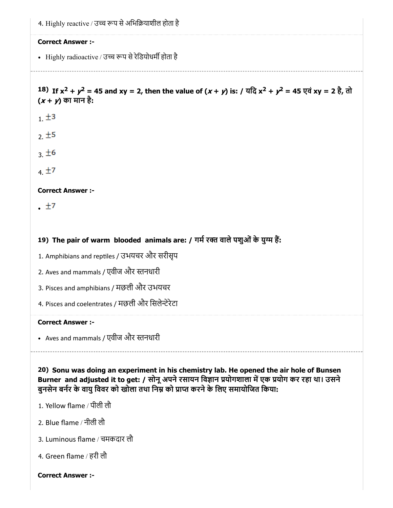4. Highly reactive / उच्च रूप से अभिक्रियाशील होता है

#### Correct Answer :-

• Highly radioactive / उच्च रूप से रेडियोधर्मी होता है

## 18) If  $x^2 + y^2 = 45$  and  $xy = 2$ , then the value of  $(x + y)$  is: / यदि  $x^2 + y^2 = 45$  एवं  $xy = 2\frac{3}{5}$ , तो  $(x + y)$  का मान है:

- $1. \pm 3$
- $2.15$
- $3.16$
- $4.17$

## Correct Answer :-

 $\pm 7$ 

## 19) The pair of warm blooded animals are: / गर्म रक्त वाले पशुओं के युग्म हैं:

- 1. Amphibians and reptiles / उभयचर और सरीसृप
- 2. Aves and mammals / एवीज और नधारी
- 3. Pisces and amphibians / मछली और उभयचर
- 4. Pisces and coelentrates / मछली और सिलेन्टेरेटा

#### Correct Answer :-

Aves and mammals / एवीज और नधारी

20) Sonu was doing an experiment in his chemistry lab. He opened the air hole of Bunsen Burner and adjusted it to get: / सोनू अपने रसायन विज्ञान प्रयोगशाला में एक प्रयोग कर रहा था। उसने बुनसेन बर्नर के वायु विवर को खोला तथा निम्न को प्राप्त करने के लिए समायोजित किया:

- 1. Yellow flame / पीली लौ
- 2. Blue flame / नीली लौ
- 3. Luminous flame / चमकदार लौ
- 4. Green flame / हरी लौ

#### Correct Answer :-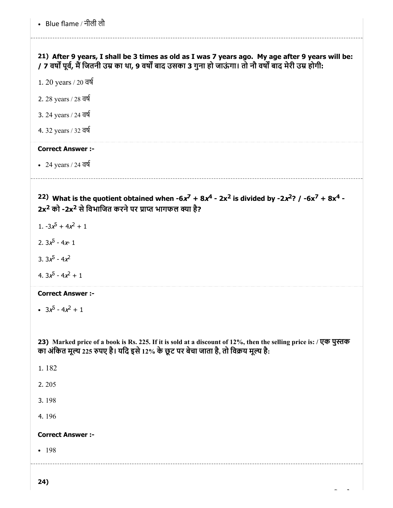21) After 9 years, I shall be 3 times as old as I was 7 years ago. My age after 9 years will be: / 7 वर्षों पूर्व, मैं जितनी उम्र का था, 9 वर्षों बाद उसका 3 गुना हो जाऊंगा। तो नौ वर्षों बाद मेरी उम्र होगी:

1. 20 years / 20 वष

2. 28 years / 28 वष

3. 24 years / 24 वष

4. 32 years / 32 वष

## Correct Answer :-

• 24 years / 24 वर्ष

<sup>22)</sup> What is the quotient obtained when  $-6x^7 + 8x^4 - 2x^2$  is divided by  $-2x^2$ ? /  $-6x^7 + 8x^4 -$ 2x<sup>2</sup> को -2x<sup>2</sup> से विभाजित करने पर प्राप्त भागफल क्या है?

1.  $-3x^5 + 4x^2 + 1$ 

2. 3 $x^5$  - 4 $x$ - 1

3.  $3x^5 - 4x^2$ 

4.  $3x^5 - 4x^2 + 1$ 

#### Correct Answer :-

 $3x^5 - 4x^2 + 1$ 

23) Marked price of a book is Rs. 225. If it is sold at a discount of 12%, then the selling price is: / एक पुस्तक का अंकित मूल्य 225 रुपए है। यदि इसे 12% के छूट पर बेचा जाता है, तो विक्रय मूल्य है:

1. 182 2. 205 3. 198 4. 196 Correct Answer :- • 198

24)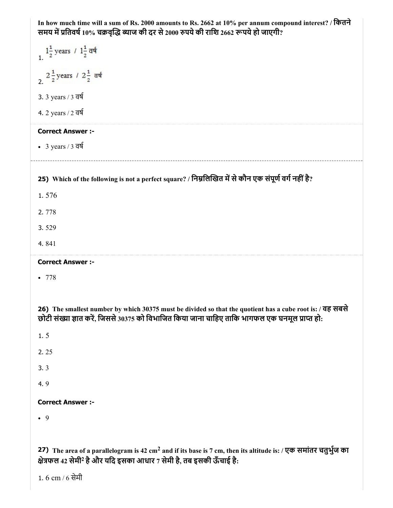| In how much time will a sum of Rs. 2000 amounts to Rs. 2662 at 10% per annum compound interest? / कितने<br>समय में प्रतिवर्ष 10% चक्रवृद्धि ब्याज की दर से 2000 रुपये की राशि 2662 रूपये हो जाएगी?              |
|-----------------------------------------------------------------------------------------------------------------------------------------------------------------------------------------------------------------|
| $1\frac{1}{2}$ years / $1\frac{1}{2}$ वर्ष                                                                                                                                                                      |
| 2 $\frac{1}{2}$ years / 2 $\frac{1}{2}$ वर्ष                                                                                                                                                                    |
| 3. 3 years / 3 वर्ष                                                                                                                                                                                             |
| 4. 2 years / 2 वर्ष                                                                                                                                                                                             |
| <b>Correct Answer :-</b>                                                                                                                                                                                        |
| • 3 years / 3 $\overline{q}$                                                                                                                                                                                    |
| 25) Which of the following is not a perfect square? / निम्नलिखित में से कौन एक संपूर्ण वर्ग नहीं है?                                                                                                            |
| 1.576                                                                                                                                                                                                           |
| 2.778                                                                                                                                                                                                           |
| 3.529                                                                                                                                                                                                           |
| 4.841                                                                                                                                                                                                           |
| <b>Correct Answer :-</b>                                                                                                                                                                                        |
| •778                                                                                                                                                                                                            |
|                                                                                                                                                                                                                 |
| 26) The smallest number by which 30375 must be divided so that the quotient has a cube root is: / वह सबसे<br>छोटी संख्या ज्ञात करें, जिससे 30375 को विभाजित किया जाना चाहिए ताकि भागफल एक घनमूल प्राप्त हो:     |
| 1.5                                                                                                                                                                                                             |
| 2.25                                                                                                                                                                                                            |
| 3.3                                                                                                                                                                                                             |
| 4.9                                                                                                                                                                                                             |
| <b>Correct Answer :-</b>                                                                                                                                                                                        |
| $\bullet$ 9                                                                                                                                                                                                     |
|                                                                                                                                                                                                                 |
| 27) The area of a parallelogram is 42 cm <sup>2</sup> and if its base is 7 cm, then its altitude is: / एक समांतर चतुर्भुज का<br>क्षेत्रफल 42 सेमी <sup>2</sup> है और यदि इसका आधार 7 सेमी है, तब इसकी ऊँचाई है: |

1.  $6 \text{ cm}$  /  $6 \text{  $\overline{d}}$ मी$